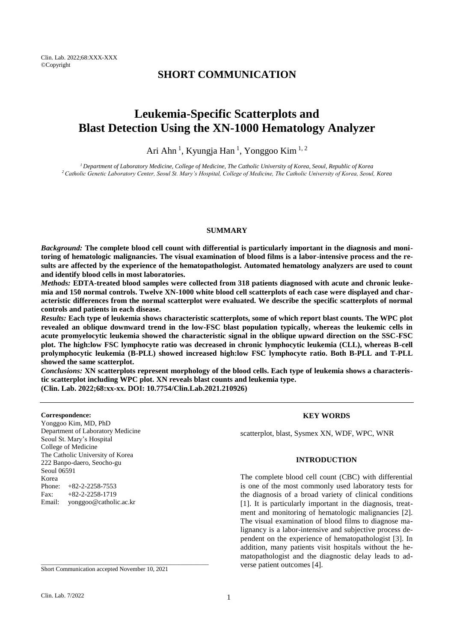## **SHORT COMMUNICATION**

# **Leukemia-Specific Scatterplots and Blast Detection Using the XN-1000 Hematology Analyzer**

Ari Ahn<sup>1</sup>, Kyungja Han<sup>1</sup>, Yonggoo Kim<sup>1, 2</sup>

*<sup>1</sup>Department of Laboratory Medicine, College of Medicine, The Catholic University of Korea, Seoul, Republic of Korea <sup>2</sup>Catholic Genetic Laboratory Center, Seoul St. Mary's Hospital, College of Medicine, The Catholic University of Korea, Seoul, Korea*

#### **SUMMARY**

*Background:* **The complete blood cell count with differential is particularly important in the diagnosis and monitoring of hematologic malignancies. The visual examination of blood films is a labor-intensive process and the results are affected by the experience of the hematopathologist. Automated hematology analyzers are used to count and identify blood cells in most laboratories.**

*Methods:* **EDTA-treated blood samples were collected from 318 patients diagnosed with acute and chronic leukemia and 150 normal controls. Twelve XN-1000 white blood cell scatterplots of each case were displayed and characteristic differences from the normal scatterplot were evaluated. We describe the specific scatterplots of normal controls and patients in each disease.**

*Results:* **Each type of leukemia shows characteristic scatterplots, some of which report blast counts. The WPC plot revealed an oblique downward trend in the low-FSC blast population typically, whereas the leukemic cells in acute promyelocytic leukemia showed the characteristic signal in the oblique upward direction on the SSC-FSC plot. The high:low FSC lymphocyte ratio was decreased in chronic lymphocytic leukemia (CLL), whereas B-cell prolymphocytic leukemia (B-PLL) showed increased high:low FSC lymphocyte ratio. Both B-PLL and T-PLL showed the same scatterplot.**

*Conclusions:* **XN scatterplots represent morphology of the blood cells. Each type of leukemia shows a characteristic scatterplot including WPC plot. XN reveals blast counts and leukemia type. (Clin. Lab. 2022;68:xx-xx. DOI: 10.7754/Clin.Lab.2021.210926)**

#### **Correspondence:**

Yonggoo Kim, MD, PhD Department of Laboratory Medicine Seoul St. Mary's Hospital College of Medicine The Catholic University of Korea 222 Banpo-daero, Seocho-gu Seoul 06591 Korea Phone: +82-2-2258-7553 Fax: +82-2-2258-1719 Email: yonggoo@catholic.ac.kr

**KEY WORDS**

scatterplot, blast, Sysmex XN, WDF, WPC, WNR

### **INTRODUCTION**

The complete blood cell count (CBC) with differential is one of the most commonly used laboratory tests for the diagnosis of a broad variety of clinical conditions [1]. It is particularly important in the diagnosis, treatment and monitoring of hematologic malignancies [2]. The visual examination of blood films to diagnose malignancy is a labor-intensive and subjective process dependent on the experience of hematopathologist [3]. In addition, many patients visit hospitals without the hematopathologist and the diagnostic delay leads to adverse patient outcomes [4].

Short Communication accepted November 10, 2021

\_\_\_\_\_\_\_\_\_\_\_\_\_\_\_\_\_\_\_\_\_\_\_\_\_\_\_\_\_\_\_\_\_\_\_\_\_\_\_\_\_\_\_\_\_\_\_\_\_\_\_\_\_\_\_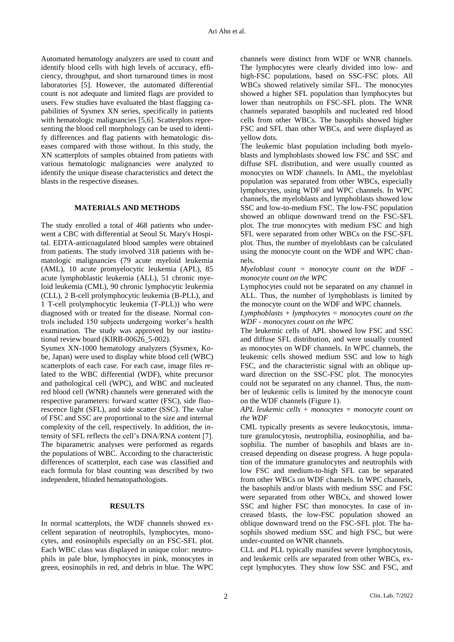Automated hematology analyzers are used to count and identify blood cells with high levels of accuracy, efficiency, throughput, and short turnaround times in most laboratories [5]. However, the automated differential count is not adequate and limited flags are provided to users. Few studies have evaluated the blast flagging capabilities of Sysmex XN series, specifically in patients with hematologic malignancies [5,6]. Scatterplots representing the blood cell morphology can be used to identify differences and flag patients with hematologic diseases compared with those without. In this study, the XN scatterplots of samples obtained from patients with various hematologic malignancies were analyzed to identify the unique disease characteristics and detect the blasts in the respective diseases.

## **MATERIALS AND METHODS**

The study enrolled a total of 468 patients who underwent a CBC with differential at Seoul St. Mary's Hospital. EDTA-anticoagulated blood samples were obtained from patients. The study involved 318 patients with hematologic malignancies (79 acute myeloid leukemia (AML), 10 acute promyelocytic leukemia (APL), 85 acute lymphoblastic leukemia (ALL), 51 chronic myeloid leukemia (CML), 90 chronic lymphocytic leukemia (CLL), 2 B-cell prolymphocytic leukemia (B-PLL), and 1 T-cell prolymphocytic leukemia (T-PLL)) who were diagnosed with or treated for the disease. Normal controls included 150 subjects undergoing worker's health examination. The study was approved by our institutional review board (KIRB-00626\_5-002).

Sysmex XN-1000 hematology analyzers (Sysmex, Kobe, Japan) were used to display white blood cell (WBC) scatterplots of each case. For each case, image files related to the WBC differential (WDF), white precursor and pathological cell (WPC), and WBC and nucleated red blood cell (WNR) channels were generated with the respective parameters: forward scatter (FSC), side fluorescence light (SFL), and side scatter (SSC). The value of FSC and SSC are proportional to the size and internal complexity of the cell, respectively. In addition, the intensity of SFL reflects the cell's DNA/RNA content [7]. The biparametric analyses were performed as regards the populations of WBC. According to the characteristic differences of scatterplot, each case was classified and each formula for blast counting was described by two independent, blinded hematopathologists.

## **RESULTS**

In normal scatterplots, the WDF channels showed excellent separation of neutrophils, lymphocytes, monocytes, and eosinophils especially on an FSC-SFL plot. Each WBC class was displayed in unique color: neutrophils in pale blue, lymphocytes in pink, monocytes in green, eosinophils in red, and debris in blue. The WPC

channels were distinct from WDF or WNR channels. The lymphocytes were clearly divided into low- and high-FSC populations, based on SSC-FSC plots. All WBCs showed relatively similar SFL. The monocytes showed a higher SFL population than lymphocytes but lower than neutrophils on FSC-SFL plots. The WNR channels separated basophils and nucleated red blood cells from other WBCs. The basophils showed higher FSC and SFL than other WBCs, and were displayed as yellow dots.

The leukemic blast population including both myeloblasts and lymphoblasts showed low FSC and SSC and diffuse SFL distribution, and were usually counted as monocytes on WDF channels. In AML, the myeloblast population was separated from other WBCs, especially lymphocytes, using WDF and WPC channels. In WPC channels, the myeloblasts and lymphoblasts showed low SSC and low-to-medium FSC. The low-FSC population showed an oblique downward trend on the FSC-SFL plot. The true monocytes with medium FSC and high SFL were separated from other WBCs on the FSC-SFL plot. Thus, the number of myeloblasts can be calculated using the monocyte count on the WDF and WPC channels.

*Myeloblast count = monocyte count on the WDF monocyte count on the WPC*

Lymphocytes could not be separated on any channel in ALL. Thus, the number of lymphoblasts is limited by the monocyte count on the WDF and WPC channels.

*Lymphoblasts + lymphocytes = monocytes count on the WDF - monocytes count on the WPC*

The leukemic cells of APL showed low FSC and SSC and diffuse SFL distribution, and were usually counted as monocytes on WDF channels. In WPC channels, the leukemic cells showed medium SSC and low to high FSC, and the characteristic signal with an oblique upward direction on the SSC-FSC plot. The monocytes could not be separated on any channel. Thus, the number of leukemic cells is limited by the monocyte count on the WDF channels (Figure 1).

*APL leukemic cells + monocytes = monocyte count on the WDF*

CML typically presents as severe leukocytosis, immature granulocytosis, neutrophilia, eosinophilia, and basophilia. The number of basophils and blasts are increased depending on disease progress. A huge population of the immature granulocytes and neutrophils with low FSC and medium-to-high SFL can be separated from other WBCs on WDF channels. In WPC channels, the basophils and/or blasts with medium SSC and FSC were separated from other WBCs, and showed lower SSC and higher FSC than monocytes. In case of increased blasts, the low-FSC population showed an oblique downward trend on the FSC-SFL plot. The basophils showed medium SSC and high FSC, but were under-counted on WNR channels.

CLL and PLL typically manifest severe lymphocytosis, and leukemic cells are separated from other WBCs, except lymphocytes. They show low SSC and FSC, and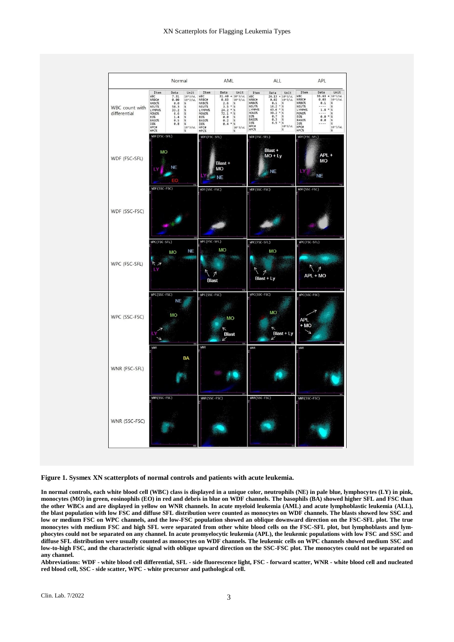

**Figure 1. Sysmex XN scatterplots of normal controls and patients with acute leukemia.**

**In normal controls, each white blood cell (WBC) class is displayed in a unique color, neutrophils (NE) in pale blue, lymphocytes (LY) in pink, monocytes (MO) in green, eosinophils (EO) in red and debris in blue on WDF channels. The basophils (BA) showed higher SFL and FSC than the other WBCs and are displayed in yellow on WNR channels. In acute myeloid leukemia (AML) and acute lymphoblastic leukemia (ALL), the blast population with low FSC and diffuse SFL distribution were counted as monocytes on WDF channels. The blasts showed low SSC and low or medium FSC on WPC channels, and the low-FSC population showed an oblique downward direction on the FSC-SFL plot. The true monocytes with medium FSC and high SFL were separated from other white blood cells on the FSC-SFL plot, but lymphoblasts and lymphocytes could not be separated on any channel. In acute promyelocytic leukemia (APL), the leukemic populations with low FSC and SSC and diffuse SFL distribution were usually counted as monocytes on WDF channels. The leukemic cells on WPC channels showed medium SSC and low-to-high FSC, and the characteristic signal with oblique upward direction on the SSC-FSC plot. The monocytes could not be separated on any channel.**

Abbreviations: WDF - white blood cell differential, SFL - side fluorescence light, FSC - forward scatter, WNR - white blood cell and nucleated **red blood cell, SSC - side scatter, WPC - white precursor and pathological cell.**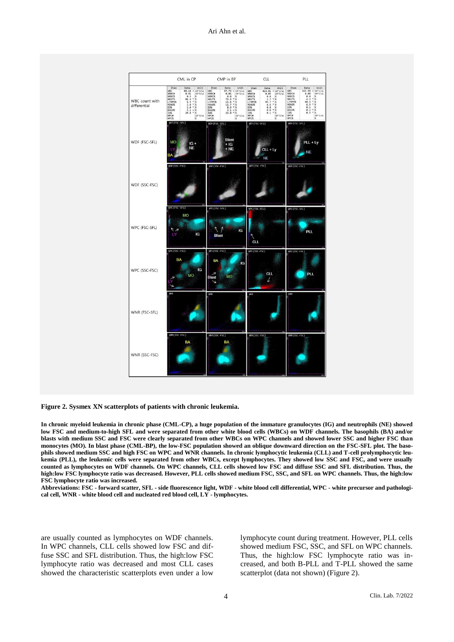

**Figure 2. Sysmex XN scatterplots of patients with chronic leukemia.**

**In chronic myeloid leukemia in chronic phase (CML-CP), a huge population of the immature granulocytes (IG) and neutrophils (NE) showed low FSC and medium-to-high SFL and were separated from other white blood cells (WBCs) on WDF channels. The basophils (BA) and/or blasts with medium SSC and FSC were clearly separated from other WBCs on WPC channels and showed lower SSC and higher FSC than monocytes (MO). In blast phase (CML-BP), the low-FSC population showed an oblique downward direction on the FSC-SFL plot. The basophils showed medium SSC and high FSC on WPC and WNR channels. In chronic lymphocytic leukemia (CLL) and T-cell prolymphocytic leukemia (PLL), the leukemic cells were separated from other WBCs, except lymphocytes. They showed low SSC and FSC, and were usually counted as lymphocytes on WDF channels. On WPC channels, CLL cells showed low FSC and diffuse SSC and SFL distribution. Thus, the high:low FSC lymphocyte ratio was decreased. However, PLL cells showed medium FSC, SSC, and SFL on WPC channels. Thus, the high:low FSC lymphocyte ratio was increased.**

**Abbreviations: FSC - forward scatter, SFL - side fluorescence light, WDF - white blood cell differential, WPC - white precursor and pathological cell, WNR - white blood cell and nucleated red blood cell, LY - lymphocytes.**

are usually counted as lymphocytes on WDF channels. In WPC channels, CLL cells showed low FSC and diffuse SSC and SFL distribution. Thus, the high:low FSC lymphocyte ratio was decreased and most CLL cases showed the characteristic scatterplots even under a low

lymphocyte count during treatment. However, PLL cells showed medium FSC, SSC, and SFL on WPC channels. Thus, the high:low FSC lymphocyte ratio was increased, and both B-PLL and T-PLL showed the same scatterplot (data not shown) (Figure 2).